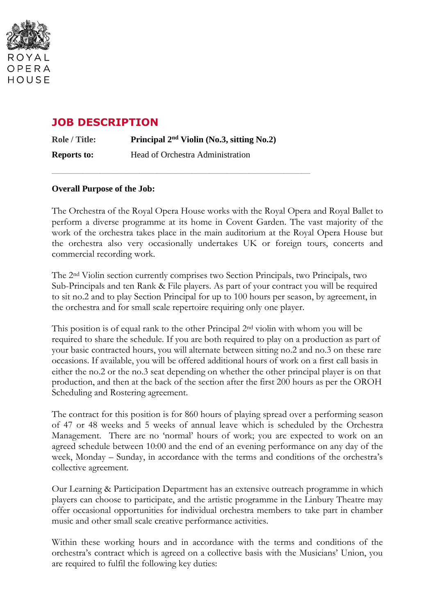

# **JOB DESCRIPTION**

**Role / Title: Principal 2 nd Violin (No.3, sitting No.2) Reports to:** Head of Orchestra Administration

\_\_\_\_\_\_\_\_\_\_\_\_\_\_\_\_\_\_\_\_\_\_\_\_\_\_\_\_\_\_\_\_\_\_\_\_\_\_\_\_\_\_\_\_\_\_\_\_\_\_\_\_\_\_\_\_\_\_\_

#### **Overall Purpose of the Job:**

The Orchestra of the Royal Opera House works with the Royal Opera and Royal Ballet to perform a diverse programme at its home in Covent Garden. The vast majority of the work of the orchestra takes place in the main auditorium at the Royal Opera House but the orchestra also very occasionally undertakes UK or foreign tours, concerts and commercial recording work.

The 2nd Violin section currently comprises two Section Principals, two Principals, two Sub-Principals and ten Rank & File players. As part of your contract you will be required to sit no.2 and to play Section Principal for up to 100 hours per season, by agreement, in the orchestra and for small scale repertoire requiring only one player.

This position is of equal rank to the other Principal 2nd violin with whom you will be required to share the schedule. If you are both required to play on a production as part of your basic contracted hours, you will alternate between sitting no.2 and no.3 on these rare occasions. If available, you will be offered additional hours of work on a first call basis in either the no.2 or the no.3 seat depending on whether the other principal player is on that production, and then at the back of the section after the first 200 hours as per the OROH Scheduling and Rostering agreement.

The contract for this position is for 860 hours of playing spread over a performing season of 47 or 48 weeks and 5 weeks of annual leave which is scheduled by the Orchestra Management. There are no 'normal' hours of work; you are expected to work on an agreed schedule between 10:00 and the end of an evening performance on any day of the week, Monday – Sunday, in accordance with the terms and conditions of the orchestra's collective agreement.

Our Learning & Participation Department has an extensive outreach programme in which players can choose to participate, and the artistic programme in the Linbury Theatre may offer occasional opportunities for individual orchestra members to take part in chamber music and other small scale creative performance activities.

Within these working hours and in accordance with the terms and conditions of the orchestra's contract which is agreed on a collective basis with the Musicians' Union, you are required to fulfil the following key duties: